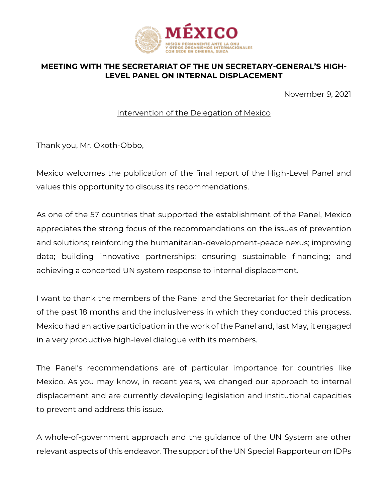

## **MEETING WITH THE SECRETARIAT OF THE UN SECRETARY-GENERAL'S HIGH-LEVEL PANEL ON INTERNAL DISPLACEMENT**

November 9, 2021

Intervention of the Delegation of Mexico

Thank you, Mr. Okoth-Obbo,

Mexico welcomes the publication of the final report of the High-Level Panel and values this opportunity to discuss its recommendations.

As one of the 57 countries that supported the establishment of the Panel, Mexico appreciates the strong focus of the recommendations on the issues of prevention and solutions; reinforcing the humanitarian-development-peace nexus; improving data; building innovative partnerships; ensuring sustainable financing; and achieving a concerted UN system response to internal displacement.

I want to thank the members of the Panel and the Secretariat for their dedication of the past 18 months and the inclusiveness in which they conducted this process. Mexico had an active participation in the work of the Panel and, last May, it engaged in a very productive high-level dialogue with its members.

The Panel's recommendations are of particular importance for countries like Mexico. As you may know, in recent years, we changed our approach to internal displacement and are currently developing legislation and institutional capacities to prevent and address this issue.

A whole-of-government approach and the guidance of the UN System are other relevant aspects of this endeavor. The support of the UN Special Rapporteur on IDPs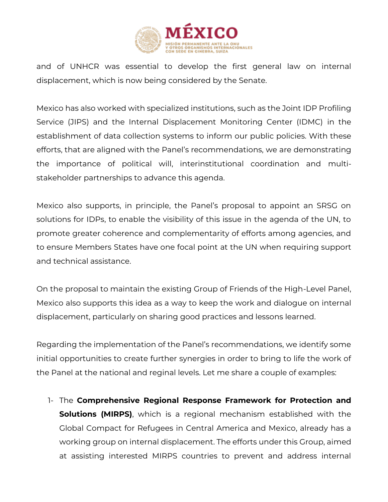

and of UNHCR was essential to develop the first general law on internal displacement, which is now being considered by the Senate.

Mexico has also worked with specialized institutions, such as the Joint IDP Profiling Service (JIPS) and the Internal Displacement Monitoring Center (IDMC) in the establishment of data collection systems to inform our public policies. With these efforts, that are aligned with the Panel's recommendations, we are demonstrating the importance of political will, interinstitutional coordination and multistakeholder partnerships to advance this agenda.

Mexico also supports, in principle, the Panel's proposal to appoint an SRSG on solutions for IDPs, to enable the visibility of this issue in the agenda of the UN, to promote greater coherence and complementarity of efforts among agencies, and to ensure Members States have one focal point at the UN when requiring support and technical assistance.

On the proposal to maintain the existing Group of Friends of the High-Level Panel, Mexico also supports this idea as a way to keep the work and dialogue on internal displacement, particularly on sharing good practices and lessons learned.

Regarding the implementation of the Panel's recommendations, we identify some initial opportunities to create further synergies in order to bring to life the work of the Panel at the national and reginal levels. Let me share a couple of examples:

1- The **Comprehensive Regional Response Framework for Protection and Solutions (MIRPS)**, which is a regional mechanism established with the Global Compact for Refugees in Central America and Mexico, already has a working group on internal displacement. The efforts under this Group, aimed at assisting interested MIRPS countries to prevent and address internal